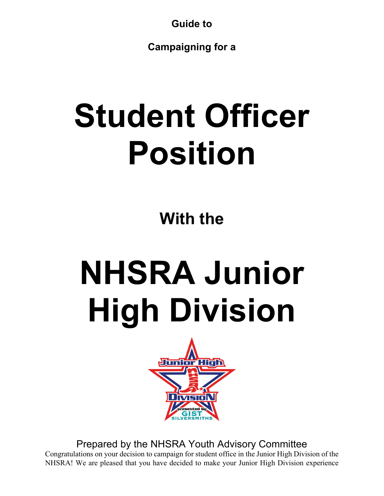**Guide to**

**Campaigning for a**

# **Student Officer Position**

**With the**

# **NHSRA Junior High Division**



Prepared by the NHSRA Youth Advisory Committee Congratulations on your decision to campaign for student office in the Junior High Division of the NHSRA! We are pleased that you have decided to make your Junior High Division experience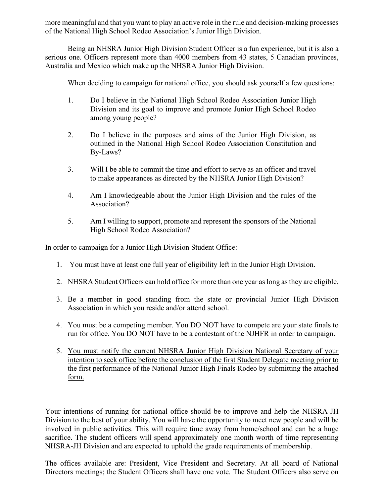more meaningful and that you want to play an active role in the rule and decision-making processes of the National High School Rodeo Association's Junior High Division.

Being an NHSRA Junior High Division Student Officer is a fun experience, but it is also a serious one. Officers represent more than 4000 members from 43 states, 5 Canadian provinces, Australia and Mexico which make up the NHSRA Junior High Division.

When deciding to campaign for national office, you should ask yourself a few questions:

- 1. Do I believe in the National High School Rodeo Association Junior High Division and its goal to improve and promote Junior High School Rodeo among young people?
- 2. Do I believe in the purposes and aims of the Junior High Division, as outlined in the National High School Rodeo Association Constitution and By-Laws?
- 3. Will I be able to commit the time and effort to serve as an officer and travel to make appearances as directed by the NHSRA Junior High Division?
- 4. Am I knowledgeable about the Junior High Division and the rules of the Association?
- 5. Am I willing to support, promote and represent the sponsors of the National High School Rodeo Association?

In order to campaign for a Junior High Division Student Office:

- 1. You must have at least one full year of eligibility left in the Junior High Division.
- 2. NHSRA Student Officers can hold office for more than one year as long as they are eligible.
- 3. Be a member in good standing from the state or provincial Junior High Division Association in which you reside and/or attend school.
- 4. You must be a competing member. You DO NOT have to compete are your state finals to run for office. You DO NOT have to be a contestant of the NJHFR in order to campaign.
- 5. You must notify the current NHSRA Junior High Division National Secretary of your intention to seek office before the conclusion of the first Student Delegate meeting prior to the first performance of the National Junior High Finals Rodeo by submitting the attached form.

Your intentions of running for national office should be to improve and help the NHSRA-JH Division to the best of your ability. You will have the opportunity to meet new people and will be involved in public activities. This will require time away from home/school and can be a huge sacrifice. The student officers will spend approximately one month worth of time representing NHSRA-JH Division and are expected to uphold the grade requirements of membership.

The offices available are: President, Vice President and Secretary. At all board of National Directors meetings; the Student Officers shall have one vote. The Student Officers also serve on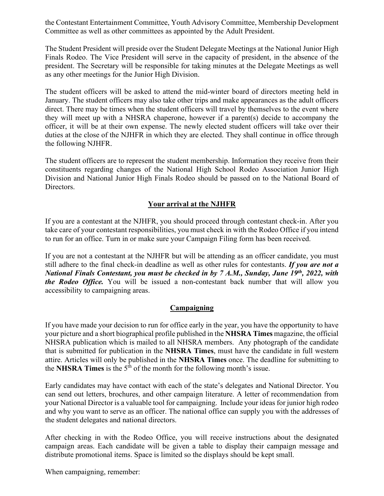the Contestant Entertainment Committee, Youth Advisory Committee, Membership Development Committee as well as other committees as appointed by the Adult President.

The Student President will preside over the Student Delegate Meetings at the National Junior High Finals Rodeo. The Vice President will serve in the capacity of president, in the absence of the president. The Secretary will be responsible for taking minutes at the Delegate Meetings as well as any other meetings for the Junior High Division.

The student officers will be asked to attend the mid-winter board of directors meeting held in January. The student officers may also take other trips and make appearances as the adult officers direct. There may be times when the student officers will travel by themselves to the event where they will meet up with a NHSRA chaperone, however if a parent(s) decide to accompany the officer, it will be at their own expense. The newly elected student officers will take over their duties at the close of the NJHFR in which they are elected. They shall continue in office through the following NJHFR.

The student officers are to represent the student membership. Information they receive from their constituents regarding changes of the National High School Rodeo Association Junior High Division and National Junior High Finals Rodeo should be passed on to the National Board of Directors.

### **Your arrival at the NJHFR**

If you are a contestant at the NJHFR, you should proceed through contestant check-in. After you take care of your contestant responsibilities, you must check in with the Rodeo Office if you intend to run for an office. Turn in or make sure your Campaign Filing form has been received.

If you are not a contestant at the NJHFR but will be attending as an officer candidate, you must still adhere to the final check-in deadline as well as other rules for contestants. *If you are not a National Finals Contestant, you must be checked in by 7 A.M., Sunday, June 19th, 2022, with the Rodeo Office.* You will be issued a non-contestant back number that will allow you accessibility to campaigning areas.

### **Campaigning**

If you have made your decision to run for office early in the year, you have the opportunity to have your picture and a short biographical profile published in the **NHSRA Times** magazine, the official NHSRA publication which is mailed to all NHSRA members. Any photograph of the candidate that is submitted for publication in the **NHSRA Times**, must have the candidate in full western attire. Articles will only be published in the **NHSRA Times** once. The deadline for submitting to the **NHSRA Times** is the  $5^{\bar{th}}$  of the month for the following month's issue.

Early candidates may have contact with each of the state's delegates and National Director. You can send out letters, brochures, and other campaign literature. A letter of recommendation from your National Director is a valuable tool for campaigning. Include your ideas for junior high rodeo and why you want to serve as an officer. The national office can supply you with the addresses of the student delegates and national directors.

After checking in with the Rodeo Office, you will receive instructions about the designated campaign areas. Each candidate will be given a table to display their campaign message and distribute promotional items. Space is limited so the displays should be kept small.

When campaigning, remember: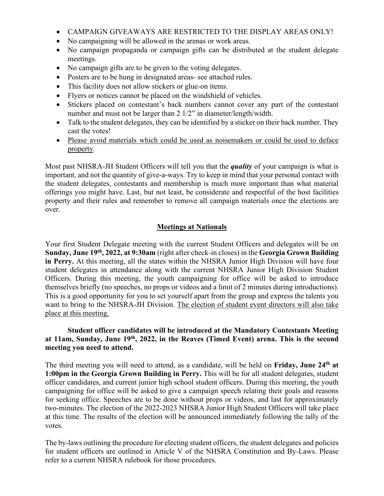- CAMPAIGN GIVEAWAYS ARE RESTRICTED TO THE DISPLAY AREAS ONLY!
- No campaigning will be allowed in the arenas or work areas.
- No campaign propaganda or campaign gifts can be distributed at the student delegate meetings.
- No campaign gifts are to be given to the voting delegates.
- Posters are to be hung in designated areas- see attached rules.
- This facility does not allow stickers or glue-on items.
- Flyers or notices cannot be placed on the windshield of vehicles.
- Stickers placed on contestant's back numbers cannot cover any part of the contestant number and must not be larger than 2 1/2" in diameter/length/width.
- Talk to the student delegates, they can be identified by a sticker on their back number. They cast the votes!
- Please avoid materials which could be used as noisemakers or could be used to deface property.

Most past NHSRA-JH Student Officers will tell you that the *quality* of your campaign is what is important, and not the quantity of give-a-ways. Try to keep in mind that your personal contact with the student delegates, contestants and membership is much more important than what material offerings you might have. Last, but not least, be considerate and respectful of the host facilities property and their rules and remember to remove all campaign materials once the elections are over.

### **Meetings at Nationals**

Your first Student Delegate meeting with the current Student Officers and delegates will be on **Sunday, June 19th, 2022, at 9:30am** (right after check-in closes) in the **Georgia Grown Building in Perry.** At this meeting, all the states within the NHSRA Junior High Division will have four student delegates in attendance along with the current NHSRA Junior High Division Student Officers. During this meeting, the youth campaigning for office will be asked to introduce themselves briefly (no speeches, no props or videos and a limit of 2 minutes during introductions). This is a good opportunity for you to set yourself apart from the group and express the talents you want to bring to the NHSRA-JH Division. The election of student event directors will also take place at this meeting.

#### **Student officer candidates will be introduced at the Mandatory Contestants Meeting at 11am, Sunday, June 19th, 2022, in the Reaves (Timed Event) arena. This is the second meeting you need to attend.**

The third meeting you will need to attend, as a candidate, will be held on **Friday, June 24th at 1:00pm in the Georgia Grown Building in Perry.** This will be for all student delegates, student officer candidates, and current junior high school student officers. During this meeting, the youth campaigning for office will be asked to give a campaign speech relating their goals and reasons for seeking office. Speeches are to be done without props or videos, and last for approximately two-minutes. The election of the 2022-2023 NHSRA Junior High Student Officers will take place at this time. The results of the election will be announced immediately following the tally of the votes.

The by-laws outlining the procedure for electing student officers, the student delegates and policies for student officers are outlined in Article V of the NHSRA Constitution and By-Laws. Please refer to a current NHSRA rulebook for those procedures.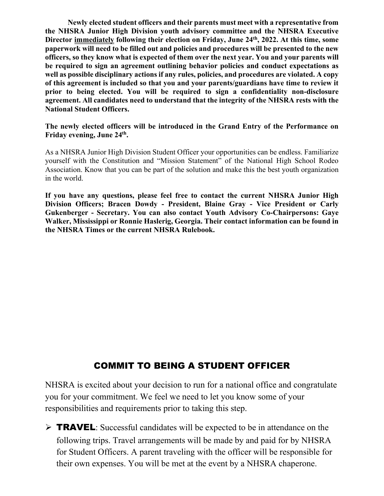**Newly elected student officers and their parents must meet with a representative from the NHSRA Junior High Division youth advisory committee and the NHSRA Executive Director immediately following their election on Friday, June 24th, 2022. At this time, some paperwork will need to be filled out and policies and procedures will be presented to the new officers, so they know what is expected of them over the next year. You and your parents will be required to sign an agreement outlining behavior policies and conduct expectations as well as possible disciplinary actions if any rules, policies, and procedures are violated. A copy of this agreement is included so that you and your parents/guardians have time to review it prior to being elected. You will be required to sign a confidentiality non-disclosure agreement. All candidates need to understand that the integrity of the NHSRA rests with the National Student Officers.** 

**The newly elected officers will be introduced in the Grand Entry of the Performance on Friday evening, June 24th.** 

As a NHSRA Junior High Division Student Officer your opportunities can be endless. Familiarize yourself with the Constitution and "Mission Statement" of the National High School Rodeo Association. Know that you can be part of the solution and make this the best youth organization in the world.

**If you have any questions, please feel free to contact the current NHSRA Junior High Division Officers; Bracen Dowdy - President, Blaine Gray - Vice President or Carly Gukenberger - Secretary. You can also contact Youth Advisory Co-Chairpersons: Gaye Walker, Mississippi or Ronnie Haslerig, Georgia. Their contact information can be found in the NHSRA Times or the current NHSRA Rulebook.**

# COMMIT TO BEING A STUDENT OFFICER

NHSRA is excited about your decision to run for a national office and congratulate you for your commitment. We feel we need to let you know some of your responsibilities and requirements prior to taking this step.

 $\triangleright$  TRAVEL: Successful candidates will be expected to be in attendance on the following trips. Travel arrangements will be made by and paid for by NHSRA for Student Officers. A parent traveling with the officer will be responsible for their own expenses. You will be met at the event by a NHSRA chaperone.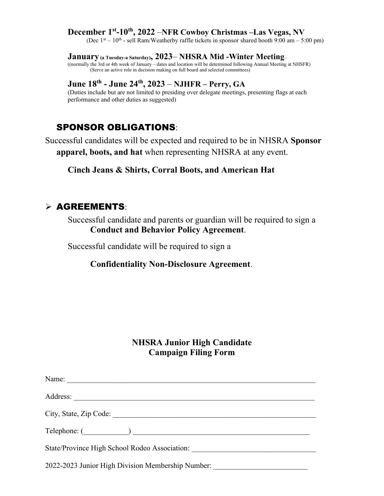# **December 1<sup>st</sup>-10<sup>th</sup>, 2022** –**NFR Cowboy Christmas –Las Vegas, NV** (Dec 1<sup>st</sup> – 10<sup>th</sup> - sell Ram/Weatherby raffle tickets in sponsor shared booth 9:00 am – 5:00 pm)

#### **January (a Tuesday-a Saturday), 2023**– **NHSRA Mid -Winter Meeting**–

((normally the 3rd or 4th week of January – dates and location will be determined following Annual Meeting at NHSFR) (Serve an active role in decision making on full board and selected committees)

# **June 18th - June 24th, 2023** – **NJHFR – Perry, GA**

(Duties include but are not limited to presiding over delegate meetings, presenting flags at each performance and other duties as suggested)

# SPONSOR OBLIGATIONS:

Successful candidates will be expected and required to be in NHSRA **Sponsor apparel, boots, and hat** when representing NHSRA at any event.

**Cinch Jeans & Shirts, Corral Boots, and American Hat**

# $\triangleright$  AGREEMENTS:

Successful candidate and parents or guardian will be required to sign a **Conduct and Behavior Policy Agreement**.

Successful candidate will be required to sign a

### **Confidentiality Non-Disclosure Agreement**.

# **NHSRA Junior High Candidate Campaign Filing Form**

| Address:                                          |
|---------------------------------------------------|
|                                                   |
| Telephone: ( )                                    |
| State/Province High School Rodeo Association:     |
| 2022-2023 Junior High Division Membership Number: |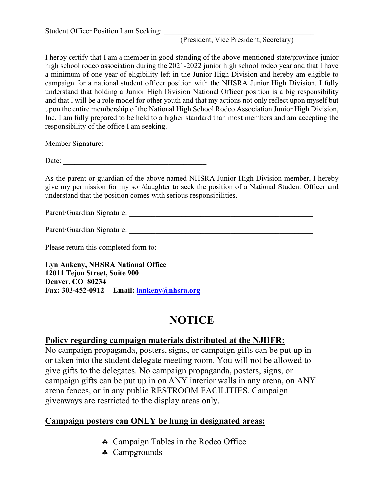# (President, Vice President, Secretary)

I herby certify that I am a member in good standing of the above-mentioned state/province junior high school rodeo association during the 2021-2022 junior high school rodeo year and that I have a minimum of one year of eligibility left in the Junior High Division and hereby am eligible to campaign for a national student officer position with the NHSRA Junior High Division. I fully understand that holding a Junior High Division National Officer position is a big responsibility and that I will be a role model for other youth and that my actions not only reflect upon myself but upon the entire membership of the National High School Rodeo Association Junior High Division, Inc. I am fully prepared to be held to a higher standard than most members and am accepting the responsibility of the office I am seeking.

Member Signature: \_\_\_\_\_\_\_\_\_\_\_\_\_\_\_\_\_\_\_\_\_\_\_\_\_\_\_\_\_\_\_\_\_\_\_\_\_\_\_\_\_\_\_\_\_\_\_\_\_\_\_\_\_\_\_\_

Date:

As the parent or guardian of the above named NHSRA Junior High Division member, I hereby give my permission for my son/daughter to seek the position of a National Student Officer and understand that the position comes with serious responsibilities.

Parent/Guardian Signature: \_\_\_\_\_\_\_\_\_\_\_\_\_\_\_\_\_\_\_\_\_\_\_\_\_\_\_\_\_\_\_\_\_\_\_\_\_\_\_\_\_\_\_\_\_\_\_\_\_

Parent/Guardian Signature:

Please return this completed form to:

**Lyn Ankeny, NHSRA National Office 12011 Tejon Street, Suite 900 Denver, CO 80234 Fax: 303-452-0912 Email: [lankeny@nhsra.org](mailto:lankeny@nhsra.org)**

# **NOTICE**

## **Policy regarding campaign materials distributed at the NJHFR:**

No campaign propaganda, posters, signs, or campaign gifts can be put up in or taken into the student delegate meeting room. You will not be allowed to give gifts to the delegates. No campaign propaganda, posters, signs, or campaign gifts can be put up in on ANY interior walls in any arena, on ANY arena fences, or in any public RESTROOM FACILITIES. Campaign giveaways are restricted to the display areas only.

# **Campaign posters can ONLY be hung in designated areas:**

- ♣ Campaign Tables in the Rodeo Office
- ♣ Campgrounds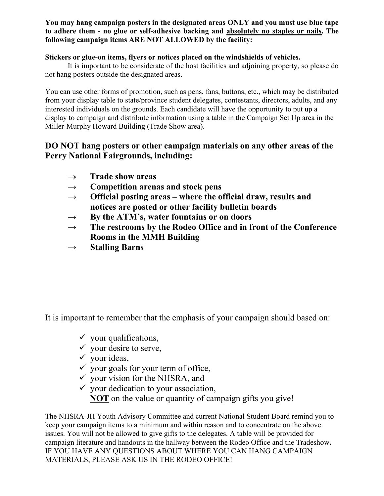### **You may hang campaign posters in the designated areas ONLY and you must use blue tape to adhere them - no glue or self-adhesive backing and absolutely no staples or nails. The following campaign items ARE NOT ALLOWED by the facility:**

### **Stickers or glue-on items, flyers or notices placed on the windshields of vehicles.**

It is important to be considerate of the host facilities and adjoining property, so please do not hang posters outside the designated areas.

You can use other forms of promotion, such as pens, fans, buttons, etc., which may be distributed from your display table to state/province student delegates, contestants, directors, adults, and any interested individuals on the grounds. Each candidate will have the opportunity to put up a display to campaign and distribute information using a table in the Campaign Set Up area in the Miller-Murphy Howard Building (Trade Show area).

# **DO NOT hang posters or other campaign materials on any other areas of the Perry National Fairgrounds, including:**

- → **Trade show areas**
- **→ Competition arenas and stock pens**
- **→ Official posting areas where the official draw, results and notices are posted or other facility bulletin boards**
- **→ By the ATM's, water fountains or on doors**
- **→ The restrooms by the Rodeo Office and in front of the Conference Rooms in the MMH Building**
- **→ Stalling Barns**

It is important to remember that the emphasis of your campaign should based on:

- $\checkmark$  your qualifications,
- $\checkmark$  your desire to serve,
- $\checkmark$  your ideas,
- $\checkmark$  your goals for your term of office,
- $\checkmark$  vour vision for the NHSRA, and
- $\checkmark$  your dedication to your association, **NOT** on the value or quantity of campaign gifts you give!

The NHSRA-JH Youth Advisory Committee and current National Student Board remind you to keep your campaign items to a minimum and within reason and to concentrate on the above issues. You will not be allowed to give gifts to the delegates. A table will be provided for campaign literature and handouts in the hallway between the Rodeo Office and the Tradeshow**.** IF YOU HAVE ANY QUESTIONS ABOUT WHERE YOU CAN HANG CAMPAIGN MATERIALS, PLEASE ASK US IN THE RODEO OFFICE!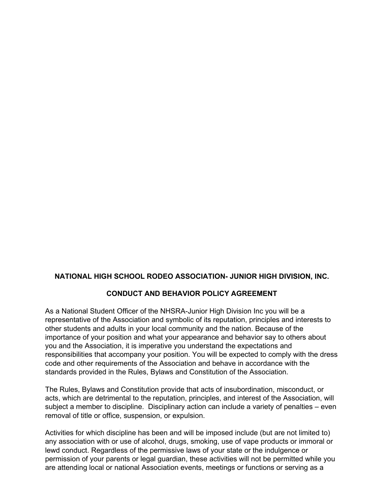### **NATIONAL HIGH SCHOOL RODEO ASSOCIATION- JUNIOR HIGH DIVISION, INC.**

### **CONDUCT AND BEHAVIOR POLICY AGREEMENT**

As a National Student Officer of the NHSRA-Junior High Division Inc you will be a representative of the Association and symbolic of its reputation, principles and interests to other students and adults in your local community and the nation. Because of the importance of your position and what your appearance and behavior say to others about you and the Association, it is imperative you understand the expectations and responsibilities that accompany your position. You will be expected to comply with the dress code and other requirements of the Association and behave in accordance with the standards provided in the Rules, Bylaws and Constitution of the Association.

The Rules, Bylaws and Constitution provide that acts of insubordination, misconduct, or acts, which are detrimental to the reputation, principles, and interest of the Association, will subject a member to discipline. Disciplinary action can include a variety of penalties – even removal of title or office, suspension, or expulsion.

Activities for which discipline has been and will be imposed include (but are not limited to) any association with or use of alcohol, drugs, smoking, use of vape products or immoral or lewd conduct. Regardless of the permissive laws of your state or the indulgence or permission of your parents or legal guardian, these activities will not be permitted while you are attending local or national Association events, meetings or functions or serving as a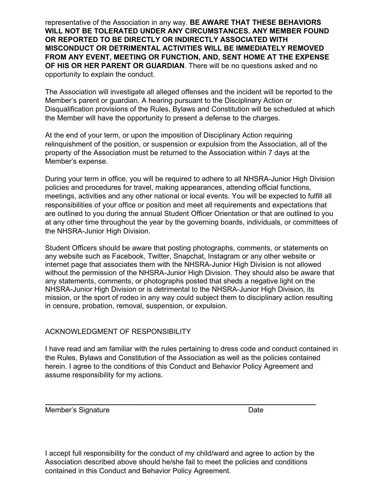representative of the Association in any way. **BE AWARE THAT THESE BEHAVIORS WILL NOT BE TOLERATED UNDER ANY CIRCUMSTANCES. ANY MEMBER FOUND OR REPORTED TO BE DIRECTLY OR INDIRECTLY ASSOCIATED WITH MISCONDUCT OR DETRIMENTAL ACTIVITIES WILL BE IMMEDIATELY REMOVED FROM ANY EVENT, MEETING OR FUNCTION, AND, SENT HOME AT THE EXPENSE OF HIS OR HER PARENT OR GUARDIAN**. There will be no questions asked and no opportunity to explain the conduct.

The Association will investigate all alleged offenses and the incident will be reported to the Member's parent or guardian. A hearing pursuant to the Disciplinary Action or Disqualification provisions of the Rules, Bylaws and Constitution will be scheduled at which the Member will have the opportunity to present a defense to the charges.

At the end of your term, or upon the imposition of Disciplinary Action requiring relinquishment of the position, or suspension or expulsion from the Association, all of the property of the Association must be returned to the Association within 7 days at the Member's expense.

During your term in office, you will be required to adhere to all NHSRA-Junior High Division policies and procedures for travel, making appearances, attending official functions, meetings, activities and any other national or local events. You will be expected to fulfill all responsibilities of your office or position and meet all requirements and expectations that are outlined to you during the annual Student Officer Orientation or that are outlined to you at any other time throughout the year by the governing boards, individuals, or committees of the NHSRA-Junior High Division.

Student Officers should be aware that posting photographs, comments, or statements on any website such as Facebook, Twitter, Snapchat, Instagram or any other website or internet page that associates them with the NHSRA-Junior High Division is not allowed without the permission of the NHSRA-Junior High Division. They should also be aware that any statements, comments, or photographs posted that sheds a negative light on the NHSRA-Junior High Division or is detrimental to the NHSRA-Junior High Division, its mission, or the sport of rodeo in any way could subject them to disciplinary action resulting in censure, probation, removal, suspension, or expulsion.

### ACKNOWLEDGMENT OF RESPONSIBILITY

I have read and am familiar with the rules pertaining to dress code and conduct contained in the Rules, Bylaws and Constitution of the Association as well as the policies contained herein. I agree to the conditions of this Conduct and Behavior Policy Agreement and assume responsibility for my actions.

Member's Signature **Date** Date

 $\overline{\phantom{a}}$  , which is a set of the set of the set of the set of the set of the set of the set of the set of the set of the set of the set of the set of the set of the set of the set of the set of the set of the set of th

I accept full responsibility for the conduct of my child/ward and agree to action by the Association described above should he/she fail to meet the policies and conditions contained in this Conduct and Behavior Policy Agreement.